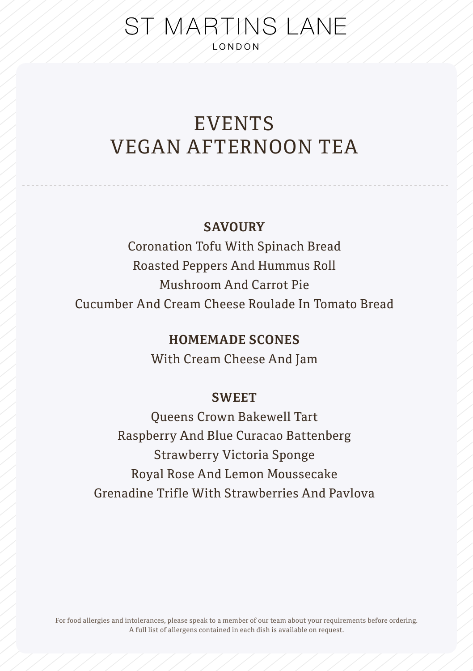# ST MARTINS LANE **LONDON**

# EVENTS VEGAN AFTERNOON TEA

## **SAVOURY**

Coronation Tofu With Spinach Bread Roasted Peppers And Hummus Roll Mushroom And Carrot Pie Cucumber And Cream Cheese Roulade In Tomato Bread

## **HOMEMADE SCONES**

With Cream Cheese And Jam

## **SWEET**

Queens Crown Bakewell Tart Raspberry And Blue Curacao Battenberg Strawberry Victoria Sponge Royal Rose And Lemon Moussecake Grenadine Trifle With Strawberries And Pavlova

For food allergies and intolerances, please speak to a member of our team about your requirements before ordering. A full list of allergens contained in each dish is available on request.